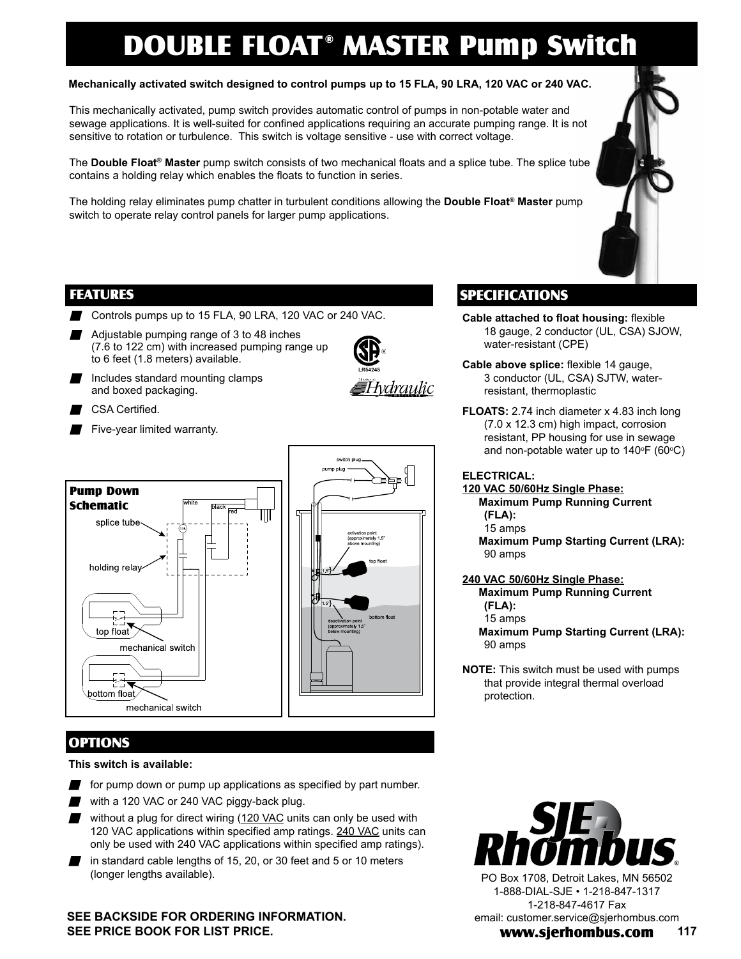# DOUBLE FLOAT<sup>®</sup> MASTER Pump Switch

### **Mechanically activated switch designed to control pumps up to 15 FLA, 90 LRA, 120 VAC or 240 VAC.**

This mechanically activated, pump switch provides automatic control of pumps in non-potable water and sewage applications. It is well-suited for confined applications requiring an accurate pumping range. It is not sensitive to rotation or turbulence. This switch is voltage sensitive - use with correct voltage.

The **Double Float® Master** pump switch consists of two mechanical floats and a splice tube. The splice tube contains a holding relay which enables the floats to function in series.

The holding relay eliminates pump chatter in turbulent conditions allowing the **Double Float® Master** pump switch to operate relay control panels for larger pump applications.

### FEATURES

- Controls pumps up to 15 FLA, 90 LRA, 120 VAC or 240 VAC.
- Adjustable pumping range of 3 to 48 inches (7.6 to 122 cm) with increased pumping range up to 6 feet (1.8 meters) available.
- $\blacksquare$  Includes standard mounting clamps and boxed packaging.



- CSA Certified.
- $\blacksquare$  Five-year limited warranty.



## OPTIONS

#### **This switch is available:**

- for pump down or pump up applications as specified by part number.
- - with a 120 VAC or 240 VAC piggy-back plug.
	- without a plug for direct wiring (120 VAC units can only be used with 120 VAC applications within specified amp ratings. 240 VAC units can only be used with 240 VAC applications within specified amp ratings).
- $\blacksquare$  in standard cable lengths of 15, 20, or 30 feet and 5 or 10 meters (longer lengths available).

### **SEE BACKSIDE FOR ORDERING INFORMATION. SEE PRICE BOOK FOR LIST PRICE.**

# SPECIFICATIONS

- **Cable attached to float housing:** flexible 18 gauge, 2 conductor (UL, CSA) SJOW, water-resistant (CPE)
- **Cable above splice:** flexible 14 gauge, 3 conductor (UL, CSA) SJTW, waterresistant, thermoplastic
- **FLOATS:** 2.74 inch diameter x 4.83 inch long (7.0 x 12.3 cm) high impact, corrosion resistant, PP housing for use in sewage and non-potable water up to 140°F (60°C)

### **ELECTRICAL:**

- **120 VAC 50/60Hz Single Phase: Maximum Pump Running Current (FLA):**  15 amps **Maximum Pump Starting Current (LRA):**  90 amps
- **240 VAC 50/60Hz Single Phase:**
	- **Maximum Pump Running Current (FLA):**  15 amps
	- **Maximum Pump Starting Current (LRA):**  90 amps
- **NOTE:** This switch must be used with pumps that provide integral thermal overload protection.